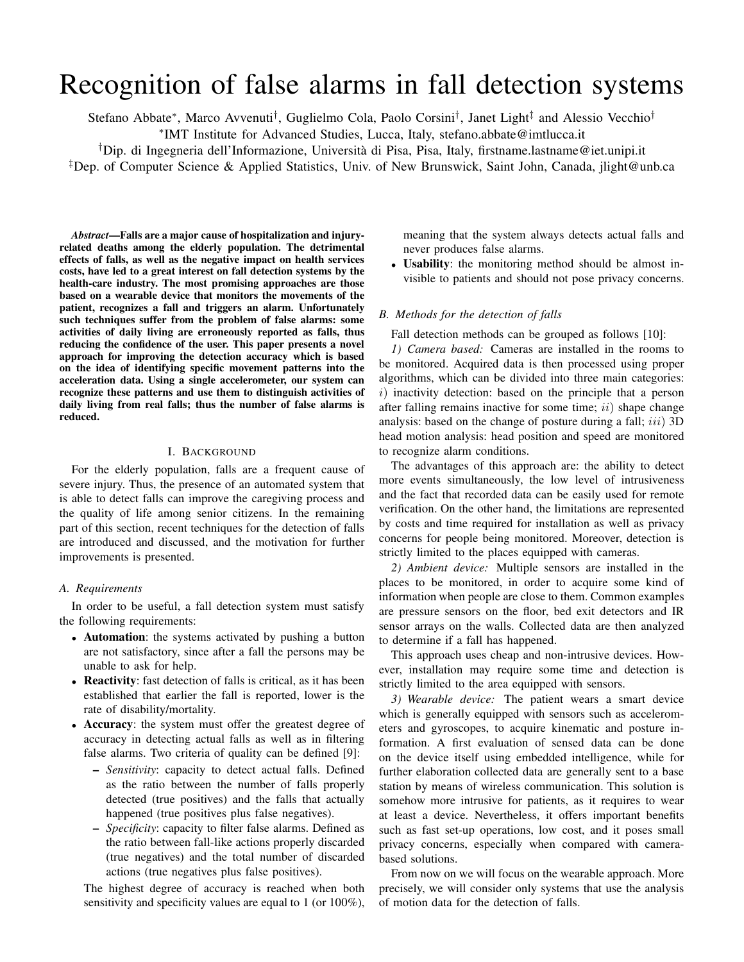# Recognition of false alarms in fall detection systems

Stefano Abbate\*, Marco Avvenuti<sup>†</sup>, Guglielmo Cola, Paolo Corsini<sup>†</sup>, Janet Light<sup>‡</sup> and Alessio Vecchio<sup>†</sup>

∗ IMT Institute for Advanced Studies, Lucca, Italy, stefano.abbate@imtlucca.it

<sup>†</sup>Dip. di Ingegneria dell'Informazione, Università di Pisa, Pisa, Italy, firstname.lastname@iet.unipi.it

‡Dep. of Computer Science & Applied Statistics, Univ. of New Brunswick, Saint John, Canada, jlight@unb.ca

*Abstract***—Falls are a major cause of hospitalization and injuryrelated deaths among the elderly population. The detrimental effects of falls, as well as the negative impact on health services costs, have led to a great interest on fall detection systems by the health-care industry. The most promising approaches are those based on a wearable device that monitors the movements of the patient, recognizes a fall and triggers an alarm. Unfortunately such techniques suffer from the problem of false alarms: some activities of daily living are erroneously reported as falls, thus reducing the confidence of the user. This paper presents a novel approach for improving the detection accuracy which is based on the idea of identifying specific movement patterns into the acceleration data. Using a single accelerometer, our system can recognize these patterns and use them to distinguish activities of daily living from real falls; thus the number of false alarms is reduced.**

#### I. BACKGROUND

For the elderly population, falls are a frequent cause of severe injury. Thus, the presence of an automated system that is able to detect falls can improve the caregiving process and the quality of life among senior citizens. In the remaining part of this section, recent techniques for the detection of falls are introduced and discussed, and the motivation for further improvements is presented.

#### *A. Requirements*

In order to be useful, a fall detection system must satisfy the following requirements:

- **Automation**: the systems activated by pushing a button are not satisfactory, since after a fall the persons may be unable to ask for help.
- **Reactivity**: fast detection of falls is critical, as it has been established that earlier the fall is reported, lower is the rate of disability/mortality.
- **Accuracy**: the system must offer the greatest degree of accuracy in detecting actual falls as well as in filtering false alarms. Two criteria of quality can be defined [9]:
	- **–** *Sensitivity*: capacity to detect actual falls. Defined as the ratio between the number of falls properly detected (true positives) and the falls that actually happened (true positives plus false negatives).
	- **–** *Specificity*: capacity to filter false alarms. Defined as the ratio between fall-like actions properly discarded (true negatives) and the total number of discarded actions (true negatives plus false positives).

The highest degree of accuracy is reached when both sensitivity and specificity values are equal to 1 (or 100%), meaning that the system always detects actual falls and never produces false alarms.

• **Usability**: the monitoring method should be almost invisible to patients and should not pose privacy concerns.

## *B. Methods for the detection of falls*

Fall detection methods can be grouped as follows [10]:

*1) Camera based:* Cameras are installed in the rooms to be monitored. Acquired data is then processed using proper algorithms, which can be divided into three main categories:  $i)$  inactivity detection: based on the principle that a person after falling remains inactive for some time;  $ii)$  shape change analysis: based on the change of posture during a fall;  $iii)$  3D head motion analysis: head position and speed are monitored to recognize alarm conditions.

The advantages of this approach are: the ability to detect more events simultaneously, the low level of intrusiveness and the fact that recorded data can be easily used for remote verification. On the other hand, the limitations are represented by costs and time required for installation as well as privacy concerns for people being monitored. Moreover, detection is strictly limited to the places equipped with cameras.

*2) Ambient device:* Multiple sensors are installed in the places to be monitored, in order to acquire some kind of information when people are close to them. Common examples are pressure sensors on the floor, bed exit detectors and IR sensor arrays on the walls. Collected data are then analyzed to determine if a fall has happened.

This approach uses cheap and non-intrusive devices. However, installation may require some time and detection is strictly limited to the area equipped with sensors.

*3) Wearable device:* The patient wears a smart device which is generally equipped with sensors such as accelerometers and gyroscopes, to acquire kinematic and posture information. A first evaluation of sensed data can be done on the device itself using embedded intelligence, while for further elaboration collected data are generally sent to a base station by means of wireless communication. This solution is somehow more intrusive for patients, as it requires to wear at least a device. Nevertheless, it offers important benefits such as fast set-up operations, low cost, and it poses small privacy concerns, especially when compared with camerabased solutions.

From now on we will focus on the wearable approach. More precisely, we will consider only systems that use the analysis of motion data for the detection of falls.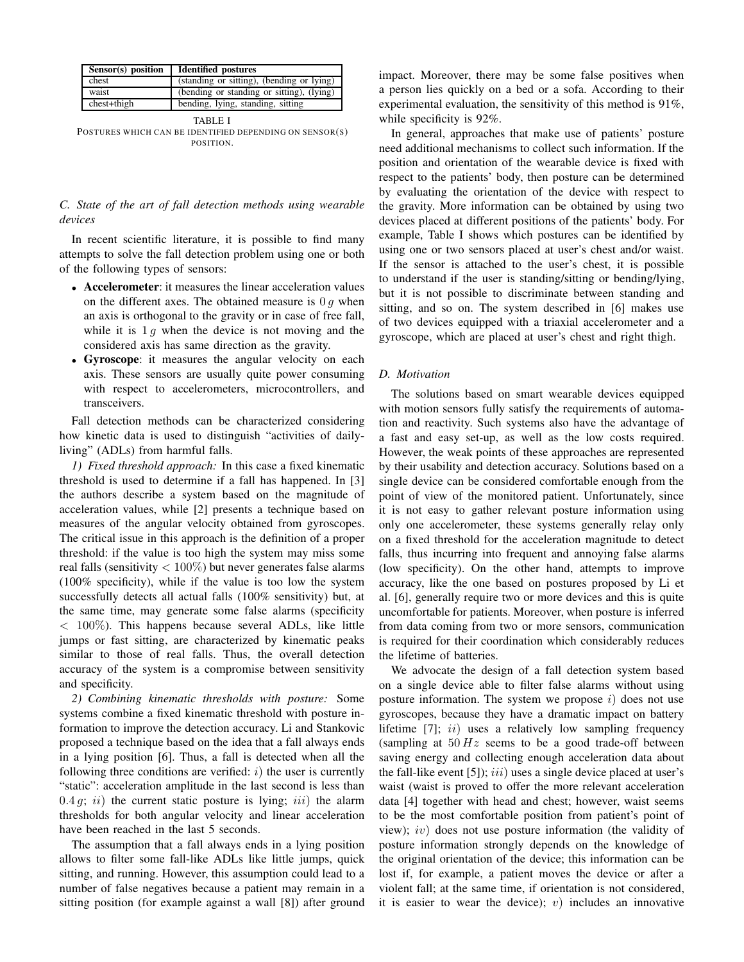| Sensor(s) position | <b>Identified</b> postures                |
|--------------------|-------------------------------------------|
| chest              | (standing or sitting), (bending or lying) |
| waist              | (bending or standing or sitting), (lying) |
| chest+thigh        | bending, lying, standing, sitting         |

TABLE I POSTURES WHICH CAN BE IDENTIFIED DEPENDING ON SENSOR(S) POSITION.

*C. State of the art of fall detection methods using wearable devices*

In recent scientific literature, it is possible to find many attempts to solve the fall detection problem using one or both of the following types of sensors:

- **Accelerometer**: it measures the linear acceleration values on the different axes. The obtained measure is  $0q$  when an axis is orthogonal to the gravity or in case of free fall, while it is  $1q$  when the device is not moving and the considered axis has same direction as the gravity.
- **Gyroscope**: it measures the angular velocity on each axis. These sensors are usually quite power consuming with respect to accelerometers, microcontrollers, and transceivers.

Fall detection methods can be characterized considering how kinetic data is used to distinguish "activities of dailyliving" (ADLs) from harmful falls.

*1) Fixed threshold approach:* In this case a fixed kinematic threshold is used to determine if a fall has happened. In [3] the authors describe a system based on the magnitude of acceleration values, while [2] presents a technique based on measures of the angular velocity obtained from gyroscopes. The critical issue in this approach is the definition of a proper threshold: if the value is too high the system may miss some real falls (sensitivity  $< 100\%$ ) but never generates false alarms (100% specificity), while if the value is too low the system successfully detects all actual falls (100% sensitivity) but, at the same time, may generate some false alarms (specificity  $<$  100%). This happens because several ADLs, like little jumps or fast sitting, are characterized by kinematic peaks similar to those of real falls. Thus, the overall detection accuracy of the system is a compromise between sensitivity and specificity.

*2) Combining kinematic thresholds with posture:* Some systems combine a fixed kinematic threshold with posture information to improve the detection accuracy. Li and Stankovic proposed a technique based on the idea that a fall always ends in a lying position [6]. Thus, a fall is detected when all the following three conditions are verified:  $i$ ) the user is currently "static": acceleration amplitude in the last second is less than  $(0.4 \, g; \, ii)$  the current static posture is lying;  $iii)$  the alarm thresholds for both angular velocity and linear acceleration have been reached in the last 5 seconds.

The assumption that a fall always ends in a lying position allows to filter some fall-like ADLs like little jumps, quick sitting, and running. However, this assumption could lead to a number of false negatives because a patient may remain in a sitting position (for example against a wall [8]) after ground impact. Moreover, there may be some false positives when a person lies quickly on a bed or a sofa. According to their experimental evaluation, the sensitivity of this method is 91%, while specificity is 92%.

In general, approaches that make use of patients' posture need additional mechanisms to collect such information. If the position and orientation of the wearable device is fixed with respect to the patients' body, then posture can be determined by evaluating the orientation of the device with respect to the gravity. More information can be obtained by using two devices placed at different positions of the patients' body. For example, Table I shows which postures can be identified by using one or two sensors placed at user's chest and/or waist. If the sensor is attached to the user's chest, it is possible to understand if the user is standing/sitting or bending/lying, but it is not possible to discriminate between standing and sitting, and so on. The system described in [6] makes use of two devices equipped with a triaxial accelerometer and a gyroscope, which are placed at user's chest and right thigh.

### *D. Motivation*

The solutions based on smart wearable devices equipped with motion sensors fully satisfy the requirements of automation and reactivity. Such systems also have the advantage of a fast and easy set-up, as well as the low costs required. However, the weak points of these approaches are represented by their usability and detection accuracy. Solutions based on a single device can be considered comfortable enough from the point of view of the monitored patient. Unfortunately, since it is not easy to gather relevant posture information using only one accelerometer, these systems generally relay only on a fixed threshold for the acceleration magnitude to detect falls, thus incurring into frequent and annoying false alarms (low specificity). On the other hand, attempts to improve accuracy, like the one based on postures proposed by Li et al. [6], generally require two or more devices and this is quite uncomfortable for patients. Moreover, when posture is inferred from data coming from two or more sensors, communication is required for their coordination which considerably reduces the lifetime of batteries.

We advocate the design of a fall detection system based on a single device able to filter false alarms without using posture information. The system we propose  $i$ ) does not use gyroscopes, because they have a dramatic impact on battery lifetime  $[7]$ ;  $ii)$  uses a relatively low sampling frequency (sampling at  $50 Hz$  seems to be a good trade-off between saving energy and collecting enough acceleration data about the fall-like event [5]);  $iii)$  uses a single device placed at user's waist (waist is proved to offer the more relevant acceleration data [4] together with head and chest; however, waist seems to be the most comfortable position from patient's point of view);  $iv$  does not use posture information (the validity of posture information strongly depends on the knowledge of the original orientation of the device; this information can be lost if, for example, a patient moves the device or after a violent fall; at the same time, if orientation is not considered, it is easier to wear the device);  $v$ ) includes an innovative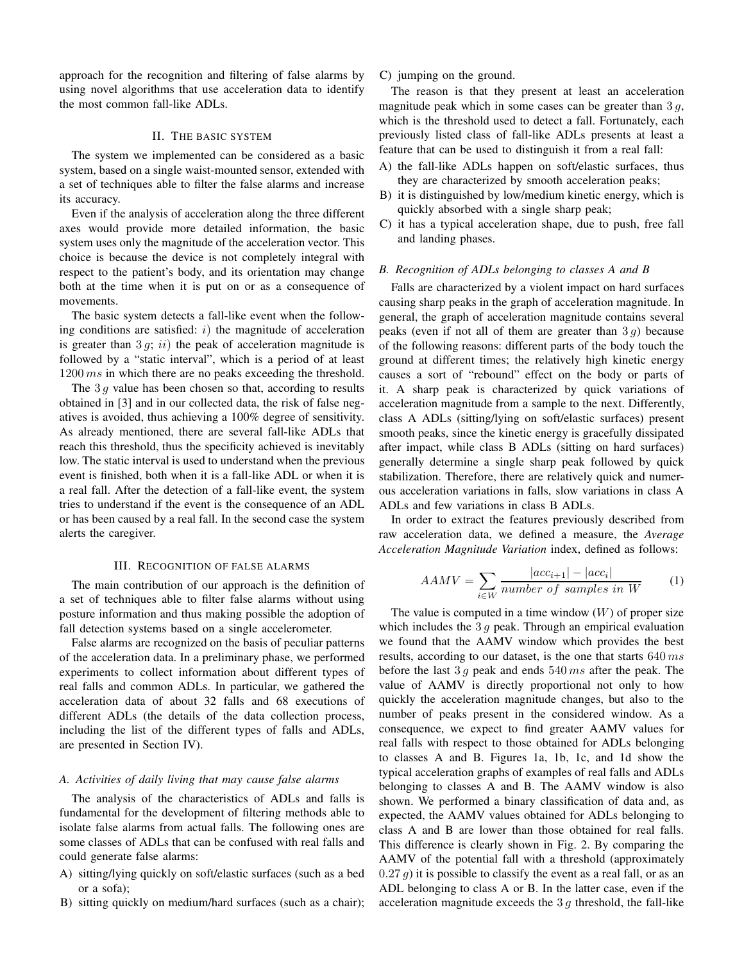approach for the recognition and filtering of false alarms by using novel algorithms that use acceleration data to identify the most common fall-like ADLs.

## II. THE BASIC SYSTEM

The system we implemented can be considered as a basic system, based on a single waist-mounted sensor, extended with a set of techniques able to filter the false alarms and increase its accuracy.

Even if the analysis of acceleration along the three different axes would provide more detailed information, the basic system uses only the magnitude of the acceleration vector. This choice is because the device is not completely integral with respect to the patient's body, and its orientation may change both at the time when it is put on or as a consequence of movements.

The basic system detects a fall-like event when the following conditions are satisfied:  $i$ ) the magnitude of acceleration is greater than 3  $q$ ;  $ii)$  the peak of acceleration magnitude is followed by a "static interval", which is a period of at least 1200 ms in which there are no peaks exceeding the threshold.

The  $3q$  value has been chosen so that, according to results obtained in [3] and in our collected data, the risk of false negatives is avoided, thus achieving a 100% degree of sensitivity. As already mentioned, there are several fall-like ADLs that reach this threshold, thus the specificity achieved is inevitably low. The static interval is used to understand when the previous event is finished, both when it is a fall-like ADL or when it is a real fall. After the detection of a fall-like event, the system tries to understand if the event is the consequence of an ADL or has been caused by a real fall. In the second case the system alerts the caregiver.

### III. RECOGNITION OF FALSE ALARMS

The main contribution of our approach is the definition of a set of techniques able to filter false alarms without using posture information and thus making possible the adoption of fall detection systems based on a single accelerometer.

False alarms are recognized on the basis of peculiar patterns of the acceleration data. In a preliminary phase, we performed experiments to collect information about different types of real falls and common ADLs. In particular, we gathered the acceleration data of about 32 falls and 68 executions of different ADLs (the details of the data collection process, including the list of the different types of falls and ADLs, are presented in Section IV).

## *A. Activities of daily living that may cause false alarms*

The analysis of the characteristics of ADLs and falls is fundamental for the development of filtering methods able to isolate false alarms from actual falls. The following ones are some classes of ADLs that can be confused with real falls and could generate false alarms:

- A) sitting/lying quickly on soft/elastic surfaces (such as a bed or a sofa);
- B) sitting quickly on medium/hard surfaces (such as a chair);

C) jumping on the ground.

The reason is that they present at least an acceleration magnitude peak which in some cases can be greater than  $3 g$ , which is the threshold used to detect a fall. Fortunately, each previously listed class of fall-like ADLs presents at least a feature that can be used to distinguish it from a real fall:

- A) the fall-like ADLs happen on soft/elastic surfaces, thus they are characterized by smooth acceleration peaks;
- B) it is distinguished by low/medium kinetic energy, which is quickly absorbed with a single sharp peak;
- C) it has a typical acceleration shape, due to push, free fall and landing phases.

#### *B. Recognition of ADLs belonging to classes A and B*

Falls are characterized by a violent impact on hard surfaces causing sharp peaks in the graph of acceleration magnitude. In general, the graph of acceleration magnitude contains several peaks (even if not all of them are greater than  $3g$ ) because of the following reasons: different parts of the body touch the ground at different times; the relatively high kinetic energy causes a sort of "rebound" effect on the body or parts of it. A sharp peak is characterized by quick variations of acceleration magnitude from a sample to the next. Differently, class A ADLs (sitting/lying on soft/elastic surfaces) present smooth peaks, since the kinetic energy is gracefully dissipated after impact, while class B ADLs (sitting on hard surfaces) generally determine a single sharp peak followed by quick stabilization. Therefore, there are relatively quick and numerous acceleration variations in falls, slow variations in class A ADLs and few variations in class B ADLs.

In order to extract the features previously described from raw acceleration data, we defined a measure, the *Average Acceleration Magnitude Variation* index, defined as follows:

$$
AAMV = \sum_{i \in W} \frac{|acc_{i+1}| - |acc_i|}{number\ of\ samples\ in\ W} \tag{1}
$$

The value is computed in a time window  $(W)$  of proper size which includes the  $3g$  peak. Through an empirical evaluation we found that the AAMV window which provides the best results, according to our dataset, is the one that starts  $640 ms$ before the last 3 q peak and ends  $540 \text{ ms}$  after the peak. The value of AAMV is directly proportional not only to how quickly the acceleration magnitude changes, but also to the number of peaks present in the considered window. As a consequence, we expect to find greater AAMV values for real falls with respect to those obtained for ADLs belonging to classes A and B. Figures 1a, 1b, 1c, and 1d show the typical acceleration graphs of examples of real falls and ADLs belonging to classes A and B. The AAMV window is also shown. We performed a binary classification of data and, as expected, the AAMV values obtained for ADLs belonging to class A and B are lower than those obtained for real falls. This difference is clearly shown in Fig. 2. By comparing the AAMV of the potential fall with a threshold (approximately  $0.27 g$ ) it is possible to classify the event as a real fall, or as an ADL belonging to class A or B. In the latter case, even if the acceleration magnitude exceeds the  $3g$  threshold, the fall-like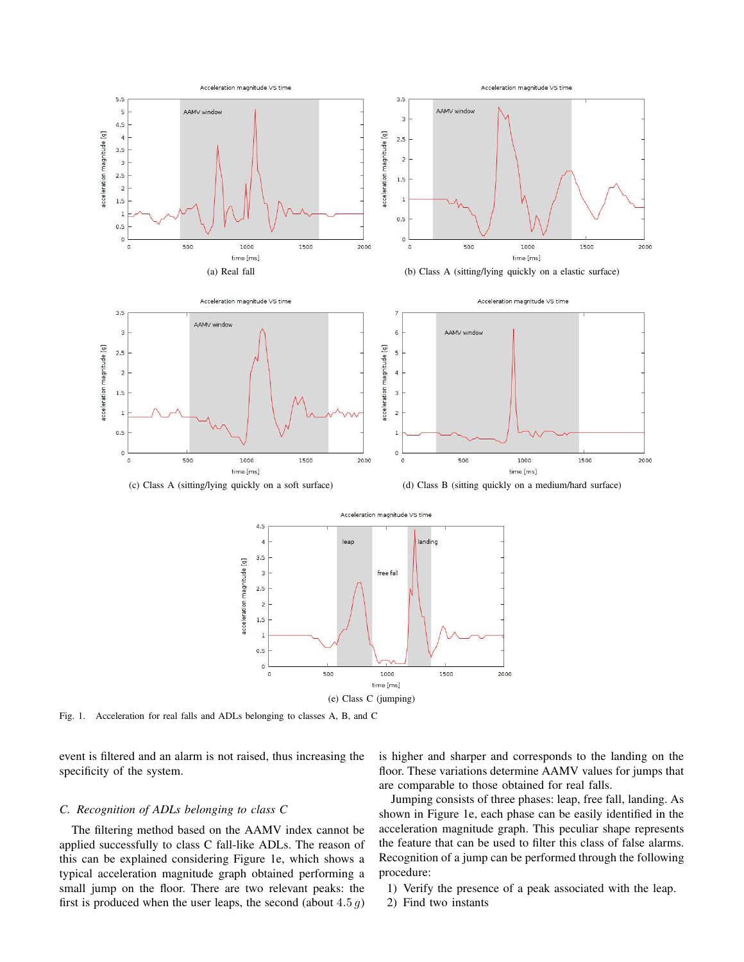

Fig. 1. Acceleration for real falls and ADLs belonging to classes A, B, and C

event is filtered and an alarm is not raised, thus increasing the specificity of the system.

## *C. Recognition of ADLs belonging to class C*

The filtering method based on the AAMV index cannot be applied successfully to class C fall-like ADLs. The reason of this can be explained considering Figure 1e, which shows a typical acceleration magnitude graph obtained performing a small jump on the floor. There are two relevant peaks: the first is produced when the user leaps, the second (about  $4.5 g$ )

is higher and sharper and corresponds to the landing on the floor. These variations determine AAMV values for jumps that are comparable to those obtained for real falls.

Jumping consists of three phases: leap, free fall, landing. As shown in Figure 1e, each phase can be easily identified in the acceleration magnitude graph. This peculiar shape represents the feature that can be used to filter this class of false alarms. Recognition of a jump can be performed through the following procedure:

- 1) Verify the presence of a peak associated with the leap.
- 2) Find two instants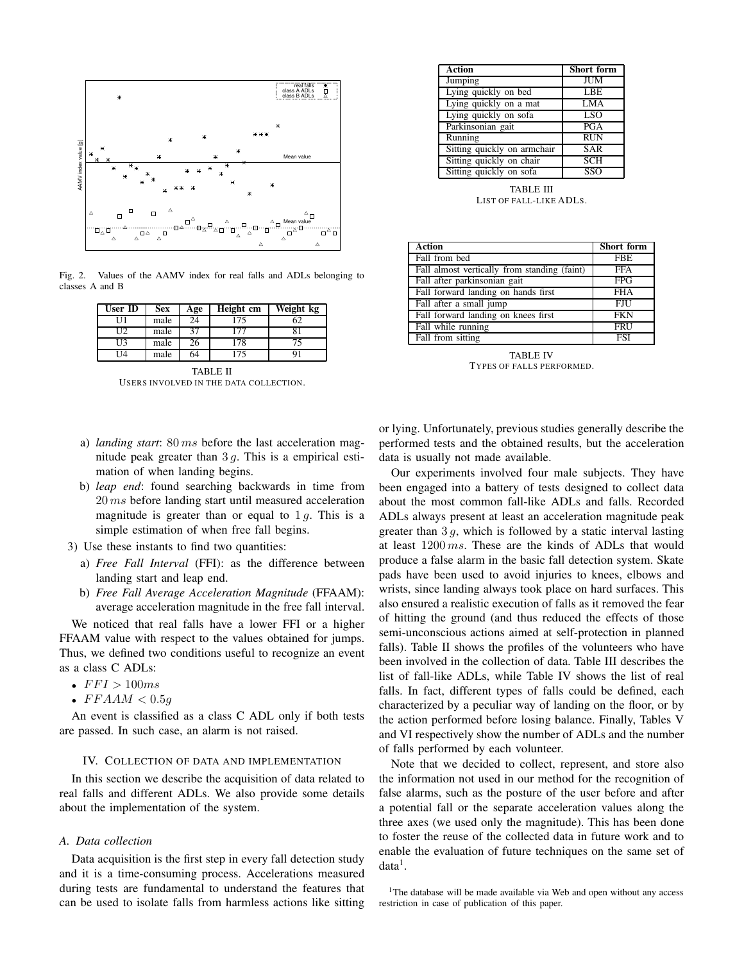

Fig. 2. Values of the AAMV index for real falls and ADLs belonging to classes A and B

| <b>User ID</b> | Sex  | Age | Height cm | Weight kg |
|----------------|------|-----|-----------|-----------|
| U1             | male | 24  |           | 62        |
| U2             | male | 37  |           |           |
| U3             | male | 26  | 178       | 75        |
| U4             | male | 64  |           |           |

TABLE II USERS INVOLVED IN THE DATA COLLECTION.

- a) *landing start*: 80 ms before the last acceleration magnitude peak greater than  $3 g$ . This is a empirical estimation of when landing begins.
- b) *leap end*: found searching backwards in time from 20 ms before landing start until measured acceleration magnitude is greater than or equal to  $1g$ . This is a simple estimation of when free fall begins.
- 3) Use these instants to find two quantities:
	- a) *Free Fall Interval* (FFI): as the difference between landing start and leap end.
	- b) *Free Fall Average Acceleration Magnitude* (FFAAM): average acceleration magnitude in the free fall interval.

We noticed that real falls have a lower FFI or a higher FFAAM value with respect to the values obtained for jumps. Thus, we defined two conditions useful to recognize an event as a class C ADLs:

- $FFI > 100ms$
- $FFAAM < 0.5q$

An event is classified as a class C ADL only if both tests are passed. In such case, an alarm is not raised.

### IV. COLLECTION OF DATA AND IMPLEMENTATION

In this section we describe the acquisition of data related to real falls and different ADLs. We also provide some details about the implementation of the system.

## *A. Data collection*

Data acquisition is the first step in every fall detection study and it is a time-consuming process. Accelerations measured during tests are fundamental to understand the features that can be used to isolate falls from harmless actions like sitting

| <b>Action</b>               | Short form       |
|-----------------------------|------------------|
| Jumping                     | <b>JUM</b>       |
| Lying quickly on bed        | <b>LBE</b>       |
| Lying quickly on a mat      | <b>LMA</b>       |
| Lying quickly on sofa       | LSO <sub>1</sub> |
| Parkinsonian gait           | PGA              |
| Running                     | <b>RUN</b>       |
| Sitting quickly on armchair | <b>SAR</b>       |
| Sitting quickly on chair    | <b>SCH</b>       |
| Sitting quickly on sofa     | SSO              |
|                             |                  |

TABLE III LIST OF FALL-LIKE ADLS.

| Action                                       | Short form |
|----------------------------------------------|------------|
| Fall from bed                                | <b>FBE</b> |
| Fall almost vertically from standing (faint) | <b>FFA</b> |
| Fall after parkinsonian gait                 | <b>FPG</b> |
| Fall forward landing on hands first          | <b>FHA</b> |
| Fall after a small jump                      | <b>FJU</b> |
| Fall forward landing on knees first          | <b>FKN</b> |
| Fall while running                           | <b>FRU</b> |
| Fall from sitting                            | <b>FSI</b> |

TABLE IV TYPES OF FALLS PERFORMED.

or lying. Unfortunately, previous studies generally describe the performed tests and the obtained results, but the acceleration data is usually not made available.

Our experiments involved four male subjects. They have been engaged into a battery of tests designed to collect data about the most common fall-like ADLs and falls. Recorded ADLs always present at least an acceleration magnitude peak greater than  $3 g$ , which is followed by a static interval lasting at least 1200 ms. These are the kinds of ADLs that would produce a false alarm in the basic fall detection system. Skate pads have been used to avoid injuries to knees, elbows and wrists, since landing always took place on hard surfaces. This also ensured a realistic execution of falls as it removed the fear of hitting the ground (and thus reduced the effects of those semi-unconscious actions aimed at self-protection in planned falls). Table II shows the profiles of the volunteers who have been involved in the collection of data. Table III describes the list of fall-like ADLs, while Table IV shows the list of real falls. In fact, different types of falls could be defined, each characterized by a peculiar way of landing on the floor, or by the action performed before losing balance. Finally, Tables V and VI respectively show the number of ADLs and the number of falls performed by each volunteer.

Note that we decided to collect, represent, and store also the information not used in our method for the recognition of false alarms, such as the posture of the user before and after a potential fall or the separate acceleration values along the three axes (we used only the magnitude). This has been done to foster the reuse of the collected data in future work and to enable the evaluation of future techniques on the same set of  $data<sup>1</sup>$ .

<sup>1</sup>The database will be made available via Web and open without any access restriction in case of publication of this paper.